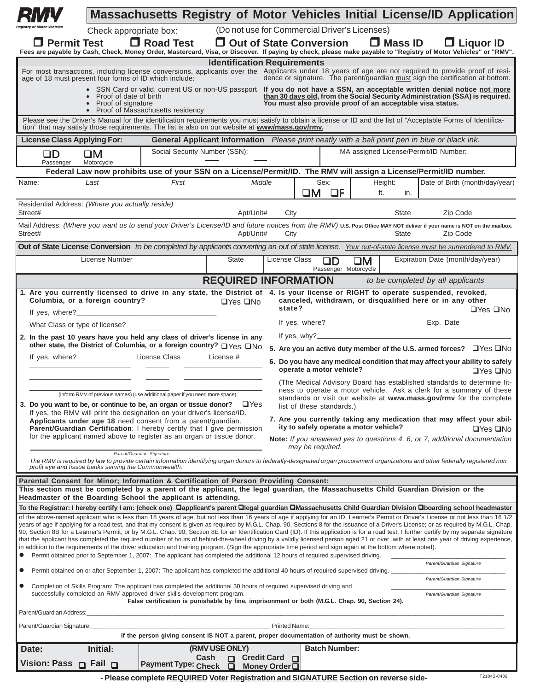|                                                                                                                                                                                                                                                                                                                                                                                                                                                                                                                                                                                                                                                                                                                                                                                                                                                                                                                                                                                                             |                                                                                                                                                                                                                                                                   | <b>Massachusetts Registry of Motor Vehicles Initial License/ID Application</b>                                                                                                                                                                                                                                                                                                                                                                                                                                                                                                                                                                                                                                                                                                                                                                                                                                                                                                                                                                                                                                                                                                                                                                                                                                                                                                                                                                                                                                                                                                                                            |                                                                            |                                                                                                                   |                                                                                                                                                                                                                                                                                                                                                                                                                                                                                                                                                                                                                                                                                                                                                                                                                                                                                                                                                                                                                       |                           |                                                           |                |  |                                                                                     |  |
|-------------------------------------------------------------------------------------------------------------------------------------------------------------------------------------------------------------------------------------------------------------------------------------------------------------------------------------------------------------------------------------------------------------------------------------------------------------------------------------------------------------------------------------------------------------------------------------------------------------------------------------------------------------------------------------------------------------------------------------------------------------------------------------------------------------------------------------------------------------------------------------------------------------------------------------------------------------------------------------------------------------|-------------------------------------------------------------------------------------------------------------------------------------------------------------------------------------------------------------------------------------------------------------------|---------------------------------------------------------------------------------------------------------------------------------------------------------------------------------------------------------------------------------------------------------------------------------------------------------------------------------------------------------------------------------------------------------------------------------------------------------------------------------------------------------------------------------------------------------------------------------------------------------------------------------------------------------------------------------------------------------------------------------------------------------------------------------------------------------------------------------------------------------------------------------------------------------------------------------------------------------------------------------------------------------------------------------------------------------------------------------------------------------------------------------------------------------------------------------------------------------------------------------------------------------------------------------------------------------------------------------------------------------------------------------------------------------------------------------------------------------------------------------------------------------------------------------------------------------------------------------------------------------------------------|----------------------------------------------------------------------------|-------------------------------------------------------------------------------------------------------------------|-----------------------------------------------------------------------------------------------------------------------------------------------------------------------------------------------------------------------------------------------------------------------------------------------------------------------------------------------------------------------------------------------------------------------------------------------------------------------------------------------------------------------------------------------------------------------------------------------------------------------------------------------------------------------------------------------------------------------------------------------------------------------------------------------------------------------------------------------------------------------------------------------------------------------------------------------------------------------------------------------------------------------|---------------------------|-----------------------------------------------------------|----------------|--|-------------------------------------------------------------------------------------|--|
| $\Box$ Permit Test                                                                                                                                                                                                                                                                                                                                                                                                                                                                                                                                                                                                                                                                                                                                                                                                                                                                                                                                                                                          | Check appropriate box:                                                                                                                                                                                                                                            | $\Box$ Road Test<br>Fees are payable by Cash, Check, Money Order, Mastercard, Visa, or Discover. If paying by check, please make payable to "Registry of Motor Vehicles" or "RMV".                                                                                                                                                                                                                                                                                                                                                                                                                                                                                                                                                                                                                                                                                                                                                                                                                                                                                                                                                                                                                                                                                                                                                                                                                                                                                                                                                                                                                                        | (Do not use for Commercial Driver's Licenses)<br>□ Out of State Conversion |                                                                                                                   |                                                                                                                                                                                                                                                                                                                                                                                                                                                                                                                                                                                                                                                                                                                                                                                                                                                                                                                                                                                                                       |                           |                                                           | $\Box$ Mass ID |  | $\Box$ Liquor ID                                                                    |  |
|                                                                                                                                                                                                                                                                                                                                                                                                                                                                                                                                                                                                                                                                                                                                                                                                                                                                                                                                                                                                             |                                                                                                                                                                                                                                                                   |                                                                                                                                                                                                                                                                                                                                                                                                                                                                                                                                                                                                                                                                                                                                                                                                                                                                                                                                                                                                                                                                                                                                                                                                                                                                                                                                                                                                                                                                                                                                                                                                                           | <b>Identification Requirements</b>                                         |                                                                                                                   |                                                                                                                                                                                                                                                                                                                                                                                                                                                                                                                                                                                                                                                                                                                                                                                                                                                                                                                                                                                                                       |                           |                                                           |                |  |                                                                                     |  |
| age of 18 must present four forms of ID which include:                                                                                                                                                                                                                                                                                                                                                                                                                                                                                                                                                                                                                                                                                                                                                                                                                                                                                                                                                      |                                                                                                                                                                                                                                                                   | For most transactions, including license conversions, applicants over the Applicants under 18 years of age are not required to provide proof of resi-                                                                                                                                                                                                                                                                                                                                                                                                                                                                                                                                                                                                                                                                                                                                                                                                                                                                                                                                                                                                                                                                                                                                                                                                                                                                                                                                                                                                                                                                     |                                                                            |                                                                                                                   |                                                                                                                                                                                                                                                                                                                                                                                                                                                                                                                                                                                                                                                                                                                                                                                                                                                                                                                                                                                                                       |                           |                                                           |                |  | dence or signature. The parent/guardian must sign the certification at bottom.      |  |
|                                                                                                                                                                                                                                                                                                                                                                                                                                                                                                                                                                                                                                                                                                                                                                                                                                                                                                                                                                                                             | Proof of date of birth<br>Proof of signature                                                                                                                                                                                                                      | • SSN Card or valid, current US or non-US passport If you do not have a SSN, an acceptable written denial notice not more<br>Proof of Massachusetts residency                                                                                                                                                                                                                                                                                                                                                                                                                                                                                                                                                                                                                                                                                                                                                                                                                                                                                                                                                                                                                                                                                                                                                                                                                                                                                                                                                                                                                                                             |                                                                            |                                                                                                                   |                                                                                                                                                                                                                                                                                                                                                                                                                                                                                                                                                                                                                                                                                                                                                                                                                                                                                                                                                                                                                       |                           | You must also provide proof of an acceptable visa status. |                |  | than 30 days old, from the Social Security Administration (SSA) is required.        |  |
|                                                                                                                                                                                                                                                                                                                                                                                                                                                                                                                                                                                                                                                                                                                                                                                                                                                                                                                                                                                                             | Please see the Driver's Manual for the identification requirements you must satisfy to obtain a license or ID and the list of "Acceptable Forms of Identifica-<br>tion" that may satisfy those requirements. The list is also on our website at www/mass.gov/rmv. |                                                                                                                                                                                                                                                                                                                                                                                                                                                                                                                                                                                                                                                                                                                                                                                                                                                                                                                                                                                                                                                                                                                                                                                                                                                                                                                                                                                                                                                                                                                                                                                                                           |                                                                            |                                                                                                                   |                                                                                                                                                                                                                                                                                                                                                                                                                                                                                                                                                                                                                                                                                                                                                                                                                                                                                                                                                                                                                       |                           |                                                           |                |  |                                                                                     |  |
| <b>License Class Applying For:</b>                                                                                                                                                                                                                                                                                                                                                                                                                                                                                                                                                                                                                                                                                                                                                                                                                                                                                                                                                                          |                                                                                                                                                                                                                                                                   |                                                                                                                                                                                                                                                                                                                                                                                                                                                                                                                                                                                                                                                                                                                                                                                                                                                                                                                                                                                                                                                                                                                                                                                                                                                                                                                                                                                                                                                                                                                                                                                                                           |                                                                            | <b>General Applicant Information</b> Please print neatly with a ball point pen in blue or black ink.              |                                                                                                                                                                                                                                                                                                                                                                                                                                                                                                                                                                                                                                                                                                                                                                                                                                                                                                                                                                                                                       |                           |                                                           |                |  |                                                                                     |  |
| $\square D$<br>Passenger                                                                                                                                                                                                                                                                                                                                                                                                                                                                                                                                                                                                                                                                                                                                                                                                                                                                                                                                                                                    | $\square M$<br>Motorcycle                                                                                                                                                                                                                                         | Social Security Number (SSN):                                                                                                                                                                                                                                                                                                                                                                                                                                                                                                                                                                                                                                                                                                                                                                                                                                                                                                                                                                                                                                                                                                                                                                                                                                                                                                                                                                                                                                                                                                                                                                                             | MA assigned License/Permit/ID Number:                                      |                                                                                                                   |                                                                                                                                                                                                                                                                                                                                                                                                                                                                                                                                                                                                                                                                                                                                                                                                                                                                                                                                                                                                                       |                           |                                                           |                |  |                                                                                     |  |
|                                                                                                                                                                                                                                                                                                                                                                                                                                                                                                                                                                                                                                                                                                                                                                                                                                                                                                                                                                                                             |                                                                                                                                                                                                                                                                   |                                                                                                                                                                                                                                                                                                                                                                                                                                                                                                                                                                                                                                                                                                                                                                                                                                                                                                                                                                                                                                                                                                                                                                                                                                                                                                                                                                                                                                                                                                                                                                                                                           |                                                                            | Federal Law now prohibits use of your SSN on a License/Permit/ID. The RMV will assign a License/Permit/ID number. |                                                                                                                                                                                                                                                                                                                                                                                                                                                                                                                                                                                                                                                                                                                                                                                                                                                                                                                                                                                                                       |                           |                                                           |                |  |                                                                                     |  |
| Name:                                                                                                                                                                                                                                                                                                                                                                                                                                                                                                                                                                                                                                                                                                                                                                                                                                                                                                                                                                                                       | Last                                                                                                                                                                                                                                                              | First                                                                                                                                                                                                                                                                                                                                                                                                                                                                                                                                                                                                                                                                                                                                                                                                                                                                                                                                                                                                                                                                                                                                                                                                                                                                                                                                                                                                                                                                                                                                                                                                                     | Middle                                                                     |                                                                                                                   |                                                                                                                                                                                                                                                                                                                                                                                                                                                                                                                                                                                                                                                                                                                                                                                                                                                                                                                                                                                                                       | Sex:<br>$\Box M$ $\Box F$ | Height:<br>ft.                                            | in.            |  | Date of Birth (month/day/year)                                                      |  |
| Residential Address: (Where you actually reside)<br>Street#                                                                                                                                                                                                                                                                                                                                                                                                                                                                                                                                                                                                                                                                                                                                                                                                                                                                                                                                                 |                                                                                                                                                                                                                                                                   |                                                                                                                                                                                                                                                                                                                                                                                                                                                                                                                                                                                                                                                                                                                                                                                                                                                                                                                                                                                                                                                                                                                                                                                                                                                                                                                                                                                                                                                                                                                                                                                                                           | Apt/Unit#                                                                  | City                                                                                                              |                                                                                                                                                                                                                                                                                                                                                                                                                                                                                                                                                                                                                                                                                                                                                                                                                                                                                                                                                                                                                       |                           |                                                           | <b>State</b>   |  | Zip Code                                                                            |  |
| Street#                                                                                                                                                                                                                                                                                                                                                                                                                                                                                                                                                                                                                                                                                                                                                                                                                                                                                                                                                                                                     |                                                                                                                                                                                                                                                                   | Mail Address: (Where you want us to send your Driver's License/ID and future notices from the RMV) U.S. Post Office MAY NOT deliver if your name is NOT on the mailbox.                                                                                                                                                                                                                                                                                                                                                                                                                                                                                                                                                                                                                                                                                                                                                                                                                                                                                                                                                                                                                                                                                                                                                                                                                                                                                                                                                                                                                                                   | Apt/Unit#                                                                  | City                                                                                                              |                                                                                                                                                                                                                                                                                                                                                                                                                                                                                                                                                                                                                                                                                                                                                                                                                                                                                                                                                                                                                       |                           |                                                           | State          |  | Zip Code                                                                            |  |
|                                                                                                                                                                                                                                                                                                                                                                                                                                                                                                                                                                                                                                                                                                                                                                                                                                                                                                                                                                                                             |                                                                                                                                                                                                                                                                   | Out of State License Conversion to be completed by applicants converting an out of state license. Your out-of-state license must be surrendered to RMV.                                                                                                                                                                                                                                                                                                                                                                                                                                                                                                                                                                                                                                                                                                                                                                                                                                                                                                                                                                                                                                                                                                                                                                                                                                                                                                                                                                                                                                                                   |                                                                            |                                                                                                                   |                                                                                                                                                                                                                                                                                                                                                                                                                                                                                                                                                                                                                                                                                                                                                                                                                                                                                                                                                                                                                       |                           |                                                           |                |  |                                                                                     |  |
|                                                                                                                                                                                                                                                                                                                                                                                                                                                                                                                                                                                                                                                                                                                                                                                                                                                                                                                                                                                                             | License Number                                                                                                                                                                                                                                                    |                                                                                                                                                                                                                                                                                                                                                                                                                                                                                                                                                                                                                                                                                                                                                                                                                                                                                                                                                                                                                                                                                                                                                                                                                                                                                                                                                                                                                                                                                                                                                                                                                           | State                                                                      | License Class                                                                                                     |                                                                                                                                                                                                                                                                                                                                                                                                                                                                                                                                                                                                                                                                                                                                                                                                                                                                                                                                                                                                                       | Passenger Motorcycle      | $\square M$                                               |                |  | Expiration Date (month/day/year)                                                    |  |
|                                                                                                                                                                                                                                                                                                                                                                                                                                                                                                                                                                                                                                                                                                                                                                                                                                                                                                                                                                                                             |                                                                                                                                                                                                                                                                   |                                                                                                                                                                                                                                                                                                                                                                                                                                                                                                                                                                                                                                                                                                                                                                                                                                                                                                                                                                                                                                                                                                                                                                                                                                                                                                                                                                                                                                                                                                                                                                                                                           | <b>REQUIRED INFORMATION</b>                                                |                                                                                                                   |                                                                                                                                                                                                                                                                                                                                                                                                                                                                                                                                                                                                                                                                                                                                                                                                                                                                                                                                                                                                                       |                           |                                                           |                |  | to be completed by all applicants                                                   |  |
| 1. Are you currently licensed to drive in any state, the District of 4. Is your license or RIGHT to operate suspended, revoked,<br>Columbia, or a foreign country?<br>$\Box$ Yes $\Box$ No<br>If yes, where?<br>What Class or type of license?<br>2. In the past 10 years have you held any class of driver's license in any<br>other state, the District of Columbia, or a foreign country? OYes ONo<br>License Class<br>If yes, where?<br>License #<br>(inform RMV of previous names) (use additional paper if you need more space)<br>3. Do you want to be, or continue to be, an organ or tissue donor? $\Box$ Yes<br>If yes, the RMV will print the designation on your driver's license/ID.<br>Applicants under age 18 need consent from a parent/guardian.<br>Parent/Guardian Certification: I hereby certify that I give permission<br>for the applicant named above to register as an organ or tissue donor.<br>Parent/Guardian Signature<br>profit eye and tissue banks serving the Commonwealth. |                                                                                                                                                                                                                                                                   |                                                                                                                                                                                                                                                                                                                                                                                                                                                                                                                                                                                                                                                                                                                                                                                                                                                                                                                                                                                                                                                                                                                                                                                                                                                                                                                                                                                                                                                                                                                                                                                                                           |                                                                            |                                                                                                                   | canceled, withdrawn, or disqualified here or in any other<br>state?<br>$\Box$ Yes $\Box$ No<br>Exp. Date<br>5. Are you an active duty member of the U.S. armed forces? $\Box$ Yes $\Box$ No<br>6. Do you have any medical condition that may affect your ability to safely<br>operate a motor vehicle?<br>$\Box Y$ es $\Box$ No<br>(The Medical Advisory Board has established standards to determine fit-<br>ness to operate a motor vehicle. Ask a clerk for a summary of these<br>standards or visit our website at www.mass.gov/rmv for the complete<br>list of these standards.)<br>7. Are you currently taking any medication that may affect your abil-<br>ity to safely operate a motor vehicle?<br>$\Box Y$ es $\Box$ No<br>Note: If you answered yes to questions 4, 6, or 7, additional documentation<br>may be required.<br>The RMV is required by law to provide certain information identifying organ donors to federally-designated organ procurement organizations and other federally registered non |                           |                                                           |                |  |                                                                                     |  |
|                                                                                                                                                                                                                                                                                                                                                                                                                                                                                                                                                                                                                                                                                                                                                                                                                                                                                                                                                                                                             |                                                                                                                                                                                                                                                                   | Parental Consent for Minor; Information & Certification of Person Providing Consent:<br>This section must be completed by a parent of the applicant, the legal guardian, the Massachusetts Child Guardian Division or the                                                                                                                                                                                                                                                                                                                                                                                                                                                                                                                                                                                                                                                                                                                                                                                                                                                                                                                                                                                                                                                                                                                                                                                                                                                                                                                                                                                                 |                                                                            |                                                                                                                   |                                                                                                                                                                                                                                                                                                                                                                                                                                                                                                                                                                                                                                                                                                                                                                                                                                                                                                                                                                                                                       |                           |                                                           |                |  |                                                                                     |  |
|                                                                                                                                                                                                                                                                                                                                                                                                                                                                                                                                                                                                                                                                                                                                                                                                                                                                                                                                                                                                             |                                                                                                                                                                                                                                                                   | Headmaster of the Boarding School the applicant is attending.<br>To the Registrar: I hereby certify I am: (check one)  ❑applicant's parent ❑legal guardian ❑Massachusetts Child Guardian Division ❑boarding school headmaster                                                                                                                                                                                                                                                                                                                                                                                                                                                                                                                                                                                                                                                                                                                                                                                                                                                                                                                                                                                                                                                                                                                                                                                                                                                                                                                                                                                             |                                                                            |                                                                                                                   |                                                                                                                                                                                                                                                                                                                                                                                                                                                                                                                                                                                                                                                                                                                                                                                                                                                                                                                                                                                                                       |                           |                                                           |                |  |                                                                                     |  |
| $\bullet$<br>Parent/Guardian Address:<br>Parent/Guardian Signature:                                                                                                                                                                                                                                                                                                                                                                                                                                                                                                                                                                                                                                                                                                                                                                                                                                                                                                                                         |                                                                                                                                                                                                                                                                   | of the above-named applicant who is less than 18 years of age, but not less than 16 years of age if applying for an ID, Learner's Permit or Driver's License or not less than 16 1/2<br>years of age if applying for a road test, and that my consent is given as required by M.G.L. Chap. 90, Sections 8 for the issuance of a Driver's License; or as required by M.G.L. Chap.<br>90, Section 8B for a Learner's Permit; or by M.G.L. Chap. 90, Section 8E for an Identification Card (ID). If this application is for a road test, I further certify by my separate signature<br>that the applicant has completed the required number of hours of behind-the-wheel driving by a validly licensed person aged 21 or over, with at least one year of driving experience,<br>in addition to the requirements of the driver education and training program. (Sign the appropriate time period and sign again at the bottom where noted).<br>Permit obtained prior to September 1, 2007: The applicant has completed the additional 12 hours of required supervised driving.<br>Permit obtained on or after September 1, 2007: The applicant has completed the additional 40 hours of required supervised driving.<br>Completion of Skills Program: The applicant has completed the additional 30 hours of required supervised driving and<br>successfully completed an RMV approved driver skills development program.<br>False certification is punishable by fine, imprisonment or both (M.G.L. Chap. 90, Section 24).<br>If the person giving consent IS NOT a parent, proper documentation of authority must be shown. |                                                                            | <b>Printed Name:</b>                                                                                              |                                                                                                                                                                                                                                                                                                                                                                                                                                                                                                                                                                                                                                                                                                                                                                                                                                                                                                                                                                                                                       |                           |                                                           |                |  | Parent/Guardian Signature<br>Parent/Guardian Signature<br>Parent/Guardian Signature |  |
| Date:                                                                                                                                                                                                                                                                                                                                                                                                                                                                                                                                                                                                                                                                                                                                                                                                                                                                                                                                                                                                       | Initial:                                                                                                                                                                                                                                                          |                                                                                                                                                                                                                                                                                                                                                                                                                                                                                                                                                                                                                                                                                                                                                                                                                                                                                                                                                                                                                                                                                                                                                                                                                                                                                                                                                                                                                                                                                                                                                                                                                           | (RMV USE ONLY)                                                             |                                                                                                                   |                                                                                                                                                                                                                                                                                                                                                                                                                                                                                                                                                                                                                                                                                                                                                                                                                                                                                                                                                                                                                       | <b>Batch Number:</b>      |                                                           |                |  |                                                                                     |  |
| Dision: Pass p Fail p                                                                                                                                                                                                                                                                                                                                                                                                                                                                                                                                                                                                                                                                                                                                                                                                                                                                                                                                                                                       |                                                                                                                                                                                                                                                                   | Cash<br><b>Payment Type: Check</b>                                                                                                                                                                                                                                                                                                                                                                                                                                                                                                                                                                                                                                                                                                                                                                                                                                                                                                                                                                                                                                                                                                                                                                                                                                                                                                                                                                                                                                                                                                                                                                                        | $\Box$<br>□ Money Order□                                                   | Credit Card □                                                                                                     |                                                                                                                                                                                                                                                                                                                                                                                                                                                                                                                                                                                                                                                                                                                                                                                                                                                                                                                                                                                                                       |                           |                                                           |                |  |                                                                                     |  |

| -Please complete REQUIRED Voter Registration and SIGNATURE Section on reverse side- | T21042-0409 |
|-------------------------------------------------------------------------------------|-------------|
|-------------------------------------------------------------------------------------|-------------|